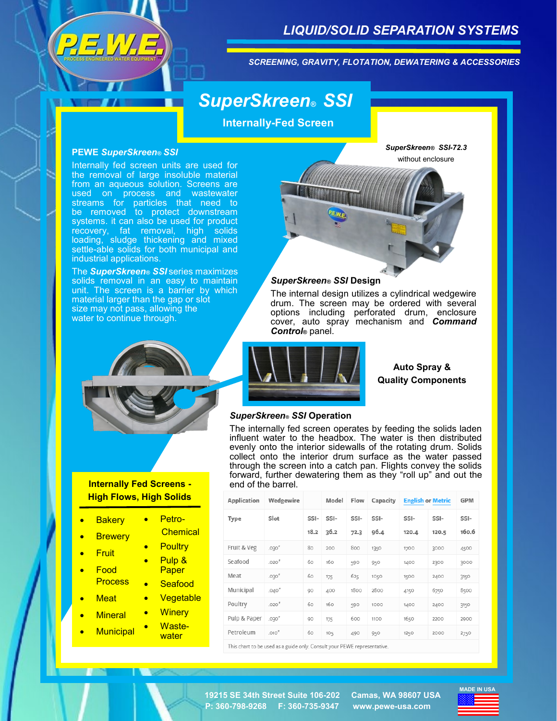

## *LIQUID/SOLID SEPARATION SYSTEMS*

*SCREENING, GRAVITY, FLOTATION, DEWATERING & ACCESSORIES*

# *SuperSkreen® SSI*

**Internally-Fed Screen**

#### **PEWE** *SuperSkreen® SSI*

Internally fed screen units are used for the removal of large insoluble material from an aqueous solution. Screens are used on process and wastewater streams for particles that need to be removed to protect downstream systems. it can also be used for product recovery, fat removal, high solids loading, sludge thickening and mixed settle-able solids for both municipal and industrial applications.

The *SuperSkreen® SSI* series maximizes solids removal in an easy to maintain unit. The screen is a barrier by which material larger than the gap or slot size may not pass, allowing the water to continue through.



The internal design utilizes a cylindrical wedgewire drum. The screen may be ordered with several options including perforated drum, enclosure cover, auto spray mechanism and *Command* 



## **Internally Fed Screens - High Flows, High Solids**

**Bakery Brewery** • Fruit • Food **Process Meat Mineral Municipal** • Petro- **Chemical Poultry** • Pulp & Paper **Seafood Vegetable Winery** • Waste**water** 



## **Auto Spray & Quality Components**

#### *SuperSkreen® SSI* **Operation**

The internally fed screen operates by feeding the solids laden influent water to the headbox. The water is then distributed evenly onto the interior sidewalls of the rotating drum. Solids collect onto the interior drum surface as the water passed through the screen into a catch pan. Flights convey the solids forward, further dewatering them as they "roll up" and out the end of the barrel.

| Application  | Wedgewire |              | Model        | Flow         | Capacity     | <b>English or Metric</b> |               | <b>GPM</b>    |
|--------------|-----------|--------------|--------------|--------------|--------------|--------------------------|---------------|---------------|
| Type         | Slot      | SSI-<br>18.2 | SSI-<br>36.2 | SSI-<br>72.3 | SSI-<br>96.4 | SSI-<br>120.4            | SSI-<br>120.5 | SSI-<br>160.6 |
| Fruit & Veg  | .030''    | 80           | 200          | 800          | 1350         | 1700                     | 3000          | 4500          |
| Seafood      | .020''    | 60           | 160          | 590          | 950          | 1400                     | 2300          | 3000          |
| Meat         | .030''    | 60           | 175          | 625          | 1050         | 1500                     | 2400          | 3150          |
| Municipal    | .040''    | 90           | 400          | 1800         | 2800         | 4150                     | 6750          | 8500          |
| Poultry      | .020"     | 60           | 160          | 590          | 1000         | 1400                     | 2400          | 3150          |
| Pulp & Paper | .030''    | 90           | 175          | 600          | 1100         | 1650                     | 2200          | 2900          |
| Petroleum    | .010"     | 60           | 105          | 490          | 950          | 1250                     | 2000          | 2750          |

This chart to be used as a guide only. Consult your PEWE representative

**P: 360-798-9268 F: 360-735-9347 www.pewe-usa.com 19215 SE 34th Street Suite 106-202 Camas, WA 98607 USA**



#### *SuperSkreen® SSI* **Design**

*Control***®** panel.